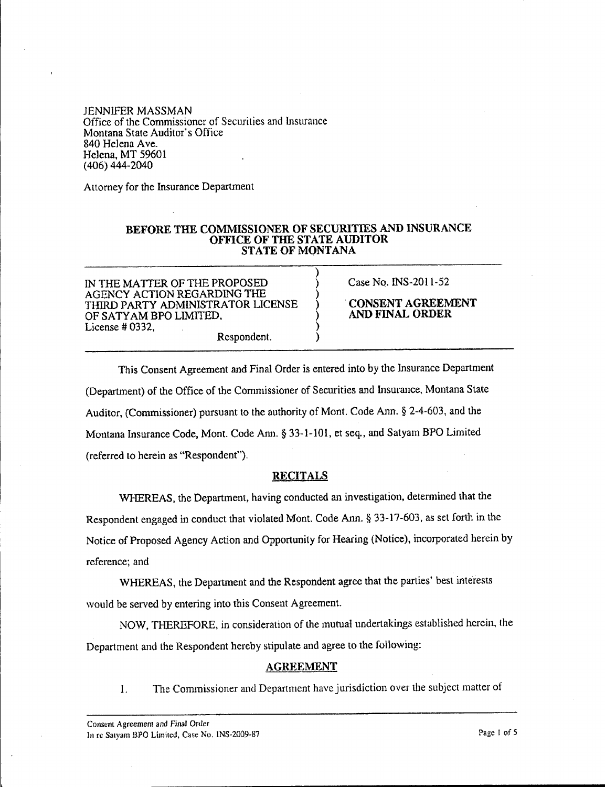JENNIFER MASSMAN Office of the Commissioner of Securities and Insurance Montana State Auditor's Office 840 Helena Ave. Helena, MT 59601 (406) 444-2040

Attorney for the Insurance Department

## BEFORE THE COMMISSIONER OF SECURITIES AND INSURANCE OFFICE OF THE STATE AUDITOR STATE OF MONTANA

)

IN THE MATTER OF THE PROPOSED AGENCY ACTION REGARDING THE THlRD PARTY ADMINISTRATOR LICENSE ) OF SATYAM BPO LIMITED. ) License # 0332, ) Respondent. )

Case No. INS-20ll-52

.CONSENT AGREEMENT AND FINAL ORDER

This Consent Agreement and Final Order is entered into by the Insurance Department (Department) of the Office of the Commissioner of Securities and Insurance, Montana State Auditor, (Commissioner) pursuant to the authority of Mont. Code Ann. S 2-4-603, and the Montana Insurance Code, Mont. Code Ann. § 33-1-101, et seq., and Satyam BPO Limited (referred to herein as "Respondent").

## RECITALS

\VHEREAS. the Department, having conducted an investigation. determined that the Respondent engaged in conduct that violated Mont. Code Ann. § 33-17-603, as set forth in the Notice of Proposed Agency Action and Opportunity for Hearing (Notice), incorporated herein by reference; and

WHEREAS, the Deparunent and the Respondent agree that the parties' best interests would be served by entering into this Consent Agreement.

NOW, THEREFORE. in consideration of the mutual undertakings established herein, the Department and the Respondent hereby stipulate and agree to the following:

## AGREEMENT

I. The Commissioner and Department have jurisdiction over the subject matter of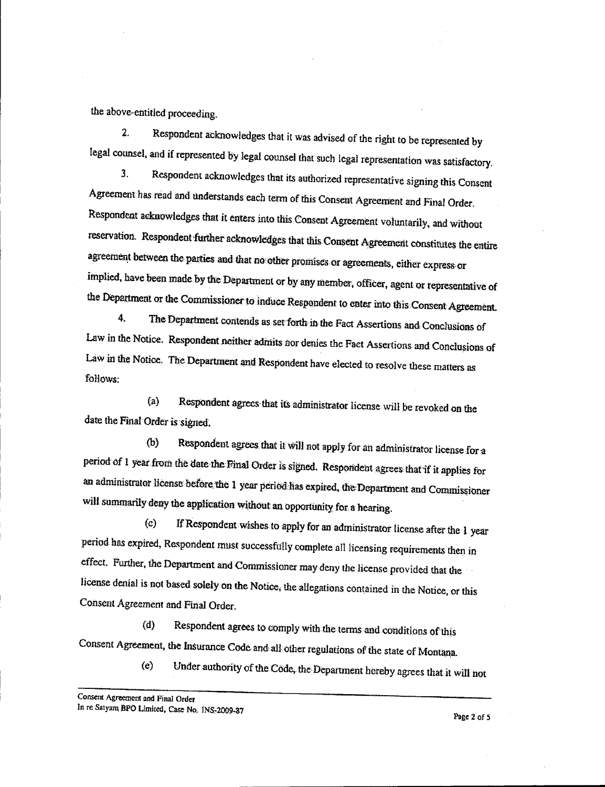the above-entitled proceeding.

 $2<sub>1</sub>$ Respondent acknowledges that it was advised of the right to be represented by legal counsel, and if represented by legal counsel that such legal representation was satisfactory.

 $\overline{3}$ . Respondent acknowledges that its authorized representative signing this Consent Agreement has read and understands each term of this Consent Agreement and Final Order. Respondent acknowledges that it enters into this Consent Agreement voluntarily, and without reservation. Respondent further acknowledges that this Consent Agreement constitutes the entire agreement between the parties and that no other promises or agreements, either express or implied, have been made by the Department or by any member, officer, agent or representative of the Department or the Commissioner to induce Respondent to enter into this Consent Agreement.

 $\overline{4}$ . The Department contends as set forth in the Fact Assertions and Conclusions of Law in the Notice. Respondent neither admits nor denies the Fact Assertions and Conclusions of Law in the Notice. The Department and Respondent have elected to resolve these matters as follows:

Respondent agrees that its administrator license will be revoked on the  $(a)$ date the Final Order is signed.

Respondent agrees that it will not apply for an administrator license for a  $(b)$ period of 1 year from the date the Final Order is signed. Respondent agrees that if it applies for an administrator license before the 1 year period has expired, the Department and Commissioner will summarily deny the application without an opportunity for a hearing.

If Respondent wishes to apply for an administrator license after the 1 year  $\epsilon$ period has expired, Respondent must successfully complete all licensing requirements then in effect. Further, the Department and Commissioner may deny the license provided that the license denial is not based solely on the Notice, the allegations contained in the Notice, or this Consent Agreement and Final Order.

Respondent agrees to comply with the terms and conditions of this  $(d)$ Consent Agreement, the Insurance Code and all other regulations of the state of Montana.

> Under authority of the Code, the Department hereby agrees that it will not  $(e)$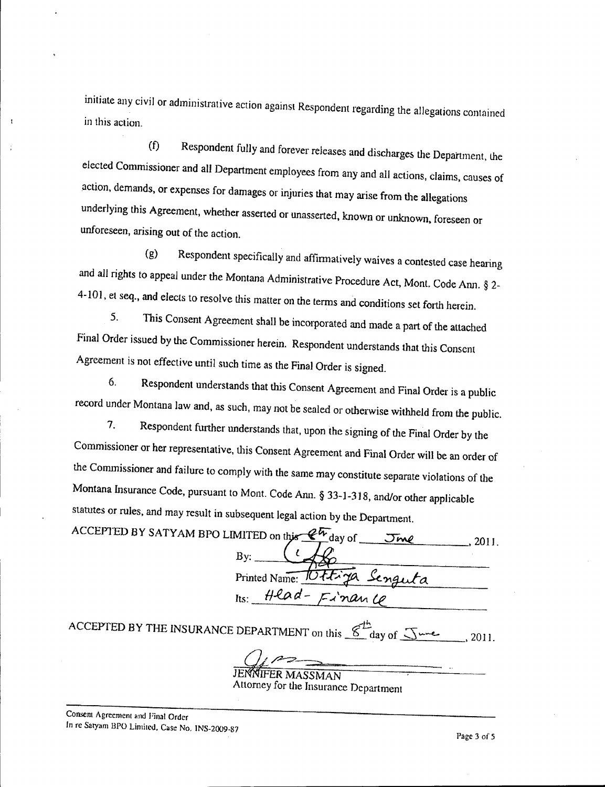initiate any civil or administrative action against Respondent regarding the allegations contained in this action

Respondent fully and forever releases and discharges the Department, the  $(f)$ elected Commissioner and all Department employees from any and all actions, claims, causes of action, demands, or expenses for damages or injuries that may arise from the allegations underlying this Agreement, whether asserted or unasserted, known or unknown, foreseen or unforeseen, arising out of the action.

Respondent specifically and affirmatively waives a contested case hearing  $\left( \mathbf{g} \right)$ and all rights to appeal under the Montana Administrative Procedure Act, Mont. Code Ann. § 2-4-101, et seq., and elects to resolve this matter on the terms and conditions set forth herein.

This Consent Agreement shall be incorporated and made a part of the attached  $5<sub>1</sub>$ Final Order issued by the Commissioner herein. Respondent understands that this Consent Agreement is not effective until such time as the Final Order is signed.

Respondent understands that this Consent Agreement and Final Order is a public 6. record under Montana law and, as such, may not be sealed or otherwise withheld from the public.

 $\overline{7}$ . Respondent further understands that, upon the signing of the Final Order by the Commissioner or her representative, this Consent Agreement and Final Order will be an order of the Commissioner and failure to comply with the same may constitute separate violations of the Montana Insurance Code, pursuant to Mont. Code Ann. § 33-1-318, and/or other applicable statutes or rules, and may result in subsequent legal action by the Department.

| ACCEPTED BY SATYAM BPO LIMITED on this $\mathscr{C}^{\mathcal{U}}$ day of $\mathscr{I}$ and<br>2011 |
|-----------------------------------------------------------------------------------------------------|
|                                                                                                     |
| Printed Name: <del>Vittiga</del> Senguta                                                            |
| $Hes$ Head- $Fix'$ nance                                                                            |
| $'$ FPFFD BV TUC inclusion in $\mathcal{L}_{\mathcal{F}}$                                           |

ACCEPTED BY THE INSURANCE DEPARTMENT on this  $\mathscr{L}$  day of  $\mathscr{L}$ <sub>ure</sub>, 2011.

ER MASSMAN

Attorney for the Insurance Department

 $\mathbf{I}$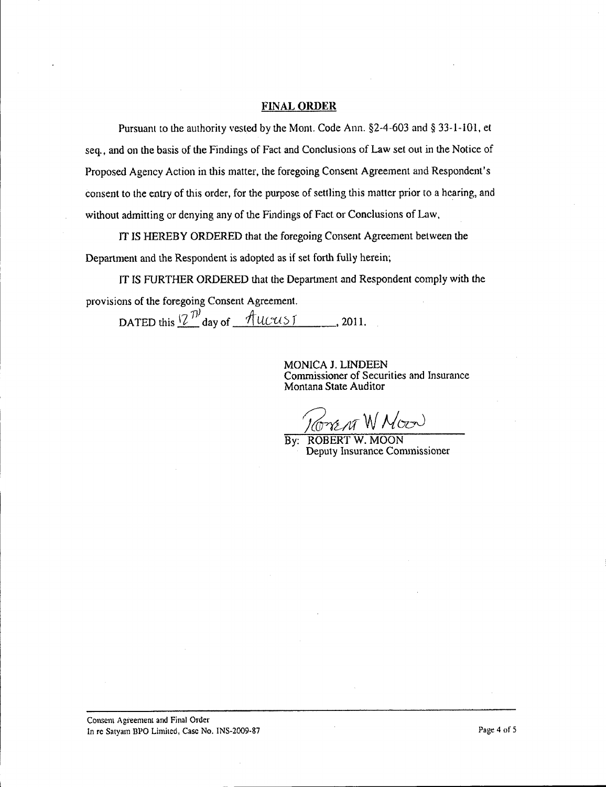## **FINAL ORDER**

Pursuant to the authority vested by the Mont. Code Ann.  $\S$ 2-4-603 and  $\S$  33-1-101, et seq., and on the basis of the findings of fact and Conclusions of Law set out in the Notice of Proposed Agency Action in this matter, the foregoing Consent Agreement and Respondent's consent to the entry of this order, for the purpose of settling this matter prior to a hearing, and without admitting or denying any of the Findings of Fact or Conclusions of Law.

IT IS HEREBY ORDERED that the foregoing Consent Agreement between the Department and the Respondent is adopted as if set forth fully herein;

IT IS FURTHER ORDERED that the Department and Respondent comply with the provisions of the foregoing Consent Agreement.

**DATED** this  $\frac{2^{n}}{n}$  day of  $\frac{4^{n}}{n}$  *UCUS* 1, 2011.

MONICA J. LINDEEN Commissioner of Securities and Insurance Montana State Auditor

*EN W Moo*r

By: ROBERT W. MOON Deputy Insurance Commissioner